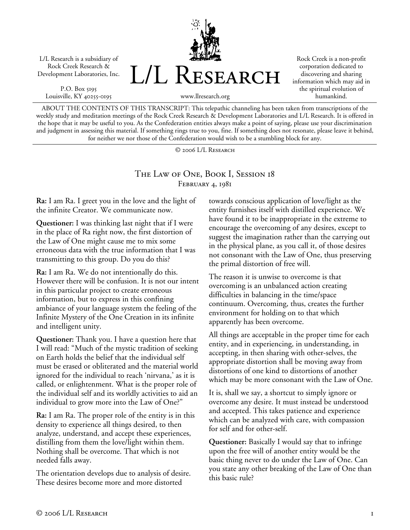L/L Research is a subsidiary of Rock Creek Research & Development Laboratories, Inc.

P.O. Box 5195 Louisville, KY 40255-0195 L/L Research

Rock Creek is a non-profit corporation dedicated to discovering and sharing information which may aid in the spiritual evolution of humankind.

www.llresearch.org

ABOUT THE CONTENTS OF THIS TRANSCRIPT: This telepathic channeling has been taken from transcriptions of the weekly study and meditation meetings of the Rock Creek Research & Development Laboratories and L/L Research. It is offered in the hope that it may be useful to you. As the Confederation entities always make a point of saying, please use your discrimination and judgment in assessing this material. If something rings true to you, fine. If something does not resonate, please leave it behind, for neither we nor those of the Confederation would wish to be a stumbling block for any.

© 2006 L/L Research

## The Law of One, Book I, Session 18 FEBRUARY 4, 1981

**Ra:** I am Ra. I greet you in the love and the light of the infinite Creator. We communicate now.

**Questioner:** I was thinking last night that if I were in the place of Ra right now, the first distortion of the Law of One might cause me to mix some erroneous data with the true information that I was transmitting to this group. Do you do this?

**Ra:** I am Ra. We do not intentionally do this. However there will be confusion. It is not our intent in this particular project to create erroneous information, but to express in this confining ambiance of your language system the feeling of the Infinite Mystery of the One Creation in its infinite and intelligent unity.

**Questioner:** Thank you. I have a question here that I will read: "Much of the mystic tradition of seeking on Earth holds the belief that the individual self must be erased or obliterated and the material world ignored for the individual to reach 'nirvana,' as it is called, or enlightenment. What is the proper role of the individual self and its worldly activities to aid an individual to grow more into the Law of One?"

**Ra:** I am Ra. The proper role of the entity is in this density to experience all things desired, to then analyze, understand, and accept these experiences, distilling from them the love/light within them. Nothing shall be overcome. That which is not needed falls away.

The orientation develops due to analysis of desire. These desires become more and more distorted

towards conscious application of love/light as the entity furnishes itself with distilled experience. We have found it to be inappropriate in the extreme to encourage the overcoming of any desires, except to suggest the imagination rather than the carrying out in the physical plane, as you call it, of those desires not consonant with the Law of One, thus preserving the primal distortion of free will.

The reason it is unwise to overcome is that overcoming is an unbalanced action creating difficulties in balancing in the time/space continuum. Overcoming, thus, creates the further environment for holding on to that which apparently has been overcome.

All things are acceptable in the proper time for each entity, and in experiencing, in understanding, in accepting, in then sharing with other-selves, the appropriate distortion shall be moving away from distortions of one kind to distortions of another which may be more consonant with the Law of One.

It is, shall we say, a shortcut to simply ignore or overcome any desire. It must instead be understood and accepted. This takes patience and experience which can be analyzed with care, with compassion for self and for other-self.

**Questioner:** Basically I would say that to infringe upon the free will of another entity would be the basic thing never to do under the Law of One. Can you state any other breaking of the Law of One than this basic rule?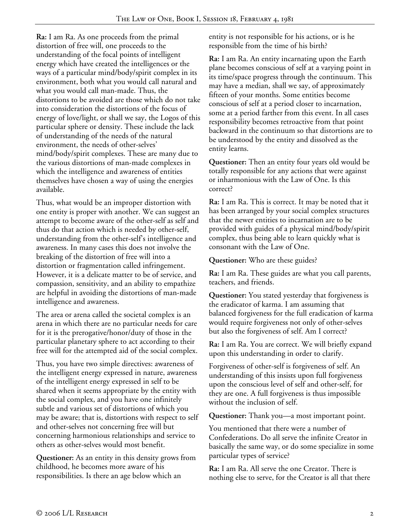**Ra:** I am Ra. As one proceeds from the primal distortion of free will, one proceeds to the understanding of the focal points of intelligent energy which have created the intelligences or the ways of a particular mind/body/spirit complex in its environment, both what you would call natural and what you would call man-made. Thus, the distortions to be avoided are those which do not take into consideration the distortions of the focus of energy of love/light, or shall we say, the Logos of this particular sphere or density. These include the lack of understanding of the needs of the natural environment, the needs of other-selves' mind/body/spirit complexes. These are many due to the various distortions of man-made complexes in which the intelligence and awareness of entities themselves have chosen a way of using the energies available.

Thus, what would be an improper distortion with one entity is proper with another. We can suggest an attempt to become aware of the other-self as self and thus do that action which is needed by other-self, understanding from the other-self's intelligence and awareness. In many cases this does not involve the breaking of the distortion of free will into a distortion or fragmentation called infringement. However, it is a delicate matter to be of service, and compassion, sensitivity, and an ability to empathize are helpful in avoiding the distortions of man-made intelligence and awareness.

The area or arena called the societal complex is an arena in which there are no particular needs for care for it is the prerogative/honor/duty of those in the particular planetary sphere to act according to their free will for the attempted aid of the social complex.

Thus, you have two simple directives: awareness of the intelligent energy expressed in nature, awareness of the intelligent energy expressed in self to be shared when it seems appropriate by the entity with the social complex, and you have one infinitely subtle and various set of distortions of which you may be aware; that is, distortions with respect to self and other-selves not concerning free will but concerning harmonious relationships and service to others as other-selves would most benefit.

**Questioner:** As an entity in this density grows from childhood, he becomes more aware of his responsibilities. Is there an age below which an

entity is not responsible for his actions, or is he responsible from the time of his birth?

**Ra:** I am Ra. An entity incarnating upon the Earth plane becomes conscious of self at a varying point in its time/space progress through the continuum. This may have a median, shall we say, of approximately fifteen of your months. Some entities become conscious of self at a period closer to incarnation, some at a period farther from this event. In all cases responsibility becomes retroactive from that point backward in the continuum so that distortions are to be understood by the entity and dissolved as the entity learns.

**Questioner:** Then an entity four years old would be totally responsible for any actions that were against or inharmonious with the Law of One. Is this correct?

**Ra:** I am Ra. This is correct. It may be noted that it has been arranged by your social complex structures that the newer entities to incarnation are to be provided with guides of a physical mind/body/spirit complex, thus being able to learn quickly what is consonant with the Law of One.

**Questioner:** Who are these guides?

**Ra:** I am Ra. These guides are what you call parents, teachers, and friends.

**Questioner:** You stated yesterday that forgiveness is the eradicator of karma. I am assuming that balanced forgiveness for the full eradication of karma would require forgiveness not only of other-selves but also the forgiveness of self. Am I correct?

**Ra:** I am Ra. You are correct. We will briefly expand upon this understanding in order to clarify.

Forgiveness of other-self is forgiveness of self. An understanding of this insists upon full forgiveness upon the conscious level of self and other-self, for they are one. A full forgiveness is thus impossible without the inclusion of self.

**Questioner:** Thank you—a most important point.

You mentioned that there were a number of Confederations. Do all serve the infinite Creator in basically the same way, or do some specialize in some particular types of service?

**Ra:** I am Ra. All serve the one Creator. There is nothing else to serve, for the Creator is all that there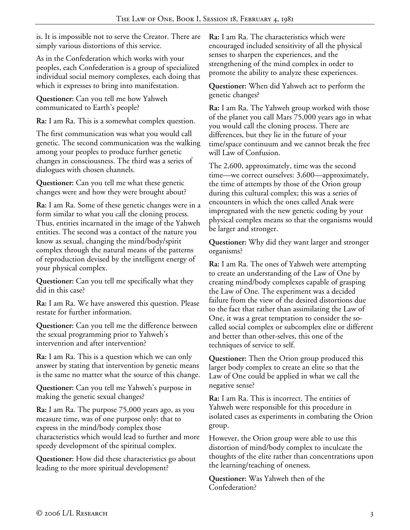is. It is impossible not to serve the Creator. There are simply various distortions of this service.

As in the Confederation which works with your peoples, each Confederation is a group of specialized individual social memory complexes, each doing that which it expresses to bring into manifestation.

**Questioner:** Can you tell me how Yahweh communicated to Earth's people?

**Ra:** I am Ra. This is a somewhat complex question.

The first communication was what you would call genetic. The second communication was the walking among your peoples to produce further genetic changes in consciousness. The third was a series of dialogues with chosen channels.

**Questioner:** Can you tell me what these genetic changes were and how they were brought about?

**Ra:** I am Ra. Some of these genetic changes were in a form similar to what you call the cloning process. Thus, entities incarnated in the image of the Yahweh entities. The second was a contact of the nature you know as sexual, changing the mind/body/spirit complex through the natural means of the patterns of reproduction devised by the intelligent energy of your physical complex.

**Questioner:** Can you tell me specifically what they did in this case?

**Ra:** I am Ra. We have answered this question. Please restate for further information.

**Questioner:** Can you tell me the difference between the sexual programming prior to Yahweh's intervention and after intervention?

**Ra:** I am Ra. This is a question which we can only answer by stating that intervention by genetic means is the same no matter what the source of this change.

**Questioner:** Can you tell me Yahweh's purpose in making the genetic sexual changes?

**Ra:** I am Ra. The purpose 75,000 years ago, as you measure time, was of one purpose only: that to express in the mind/body complex those characteristics which would lead to further and more speedy development of the spiritual complex.

**Questioner:** How did these characteristics go about leading to the more spiritual development?

**Ra:** I am Ra. The characteristics which were encouraged included sensitivity of all the physical senses to sharpen the experiences, and the strengthening of the mind complex in order to promote the ability to analyze these experiences.

**Questioner:** When did Yahweh act to perform the genetic changes?

**Ra:** I am Ra. The Yahweh group worked with those of the planet you call Mars 75,000 years ago in what you would call the cloning process. There are differences, but they lie in the future of your time/space continuum and we cannot break the free will Law of Confusion.

The 2,600, approximately, time was the second time—we correct ourselves: 3,600—approximately, the time of attempts by those of the Orion group during this cultural complex; this was a series of encounters in which the ones called Anak were impregnated with the new genetic coding by your physical complex means so that the organisms would be larger and stronger.

**Questioner:** Why did they want larger and stronger organisms?

**Ra:** I am Ra. The ones of Yahweh were attempting to create an understanding of the Law of One by creating mind/body complexes capable of grasping the Law of One. The experiment was a decided failure from the view of the desired distortions due to the fact that rather than assimilating the Law of One, it was a great temptation to consider the socalled social complex or subcomplex elite or different and better than other-selves, this one of the techniques of service to self.

**Questioner:** Then the Orion group produced this larger body complex to create an elite so that the Law of One could be applied in what we call the negative sense?

**Ra:** I am Ra. This is incorrect. The entities of Yahweh were responsible for this procedure in isolated cases as experiments in combating the Orion group.

However, the Orion group were able to use this distortion of mind/body complex to inculcate the thoughts of the elite rather than concentrations upon the learning/teaching of oneness.

**Questioner:** Was Yahweh then of the Confederation?